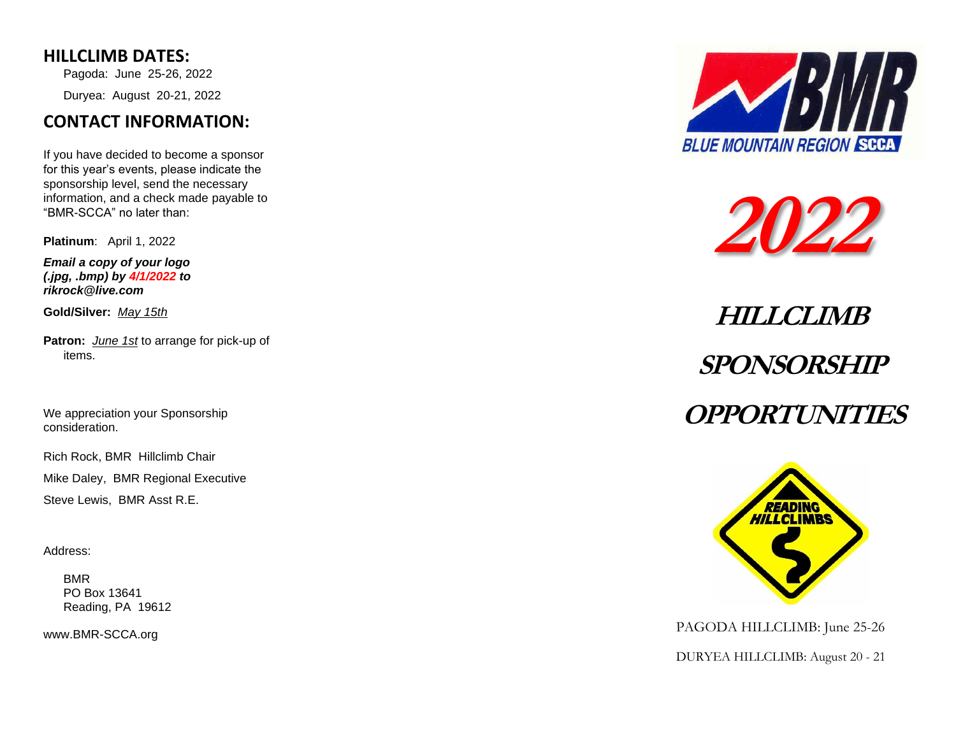#### **HILLCLIMB DATES:**

Pagoda: June 25-26, 2022 Duryea: August 20 -21, 2022

## **CONTACT INFORMATION:**

If you have decided to become a sponsor for this year's events, please indicate the sponsorship level, send the necessary information, and a check made payable to "BMR -SCCA" no later than:

**Platinum**: April 1, 2022

*Email a copy of your logo (.jpg, .bmp) by 4/1/2022 to rikrock@live.com*

**Gold/Silver:** *May 15th*

**Patron:** *June 1st* to arrange for pick -up of items.

We appreciation your Sponsorship consideration.

Rich Rock, BMR Hillclimb Chair

Mike Daley, BMR Regional Executive

Steve Lewis, BMR Asst R.E.

Address:

BMR PO Box 13641 Reading, PA 19612

www.BMR -SCCA.org





# **HILLCLIMB SPONSORSHIP OPPORTUNITIES**



PAGODA HILLCLIMB: June 25-26

DURYEA HILLCLIMB: August 20 - 21